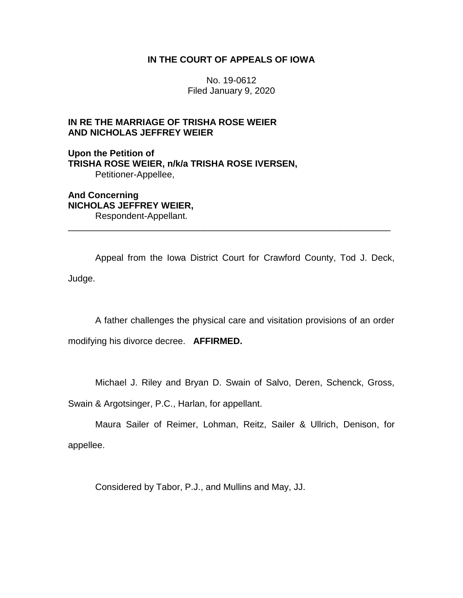## **IN THE COURT OF APPEALS OF IOWA**

No. 19-0612 Filed January 9, 2020

# **IN RE THE MARRIAGE OF TRISHA ROSE WEIER AND NICHOLAS JEFFREY WEIER**

**Upon the Petition of TRISHA ROSE WEIER, n/k/a TRISHA ROSE IVERSEN,** Petitioner-Appellee,

**And Concerning NICHOLAS JEFFREY WEIER,** Respondent-Appellant.

Appeal from the Iowa District Court for Crawford County, Tod J. Deck, Judge.

\_\_\_\_\_\_\_\_\_\_\_\_\_\_\_\_\_\_\_\_\_\_\_\_\_\_\_\_\_\_\_\_\_\_\_\_\_\_\_\_\_\_\_\_\_\_\_\_\_\_\_\_\_\_\_\_\_\_\_\_\_\_\_\_

A father challenges the physical care and visitation provisions of an order

modifying his divorce decree. **AFFIRMED.**

Michael J. Riley and Bryan D. Swain of Salvo, Deren, Schenck, Gross,

Swain & Argotsinger, P.C., Harlan, for appellant.

Maura Sailer of Reimer, Lohman, Reitz, Sailer & Ullrich, Denison, for appellee.

Considered by Tabor, P.J., and Mullins and May, JJ.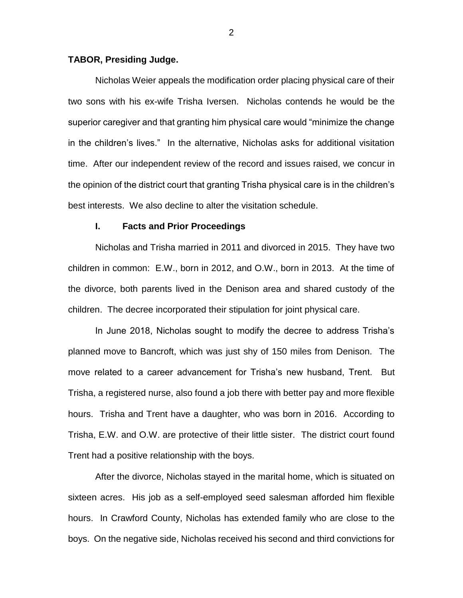### **TABOR, Presiding Judge.**

Nicholas Weier appeals the modification order placing physical care of their two sons with his ex-wife Trisha Iversen. Nicholas contends he would be the superior caregiver and that granting him physical care would "minimize the change in the children's lives." In the alternative, Nicholas asks for additional visitation time. After our independent review of the record and issues raised, we concur in the opinion of the district court that granting Trisha physical care is in the children's best interests. We also decline to alter the visitation schedule.

#### **I. Facts and Prior Proceedings**

Nicholas and Trisha married in 2011 and divorced in 2015. They have two children in common: E.W., born in 2012, and O.W., born in 2013. At the time of the divorce, both parents lived in the Denison area and shared custody of the children. The decree incorporated their stipulation for joint physical care.

In June 2018, Nicholas sought to modify the decree to address Trisha's planned move to Bancroft, which was just shy of 150 miles from Denison. The move related to a career advancement for Trisha's new husband, Trent. But Trisha, a registered nurse, also found a job there with better pay and more flexible hours. Trisha and Trent have a daughter, who was born in 2016. According to Trisha, E.W. and O.W. are protective of their little sister. The district court found Trent had a positive relationship with the boys.

After the divorce, Nicholas stayed in the marital home, which is situated on sixteen acres. His job as a self-employed seed salesman afforded him flexible hours. In Crawford County, Nicholas has extended family who are close to the boys. On the negative side, Nicholas received his second and third convictions for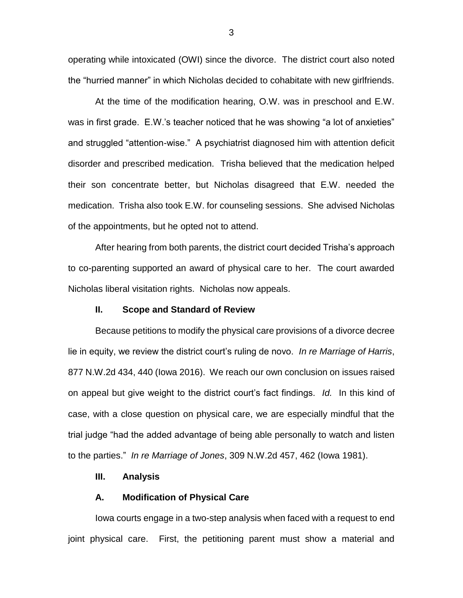operating while intoxicated (OWI) since the divorce. The district court also noted the "hurried manner" in which Nicholas decided to cohabitate with new girlfriends.

At the time of the modification hearing, O.W. was in preschool and E.W. was in first grade. E.W.'s teacher noticed that he was showing "a lot of anxieties" and struggled "attention-wise." A psychiatrist diagnosed him with attention deficit disorder and prescribed medication. Trisha believed that the medication helped their son concentrate better, but Nicholas disagreed that E.W. needed the medication. Trisha also took E.W. for counseling sessions. She advised Nicholas of the appointments, but he opted not to attend.

After hearing from both parents, the district court decided Trisha's approach to co-parenting supported an award of physical care to her. The court awarded Nicholas liberal visitation rights. Nicholas now appeals.

## **II. Scope and Standard of Review**

Because petitions to modify the physical care provisions of a divorce decree lie in equity, we review the district court's ruling de novo. *In re Marriage of Harris*, 877 N.W.2d 434, 440 (Iowa 2016). We reach our own conclusion on issues raised on appeal but give weight to the district court's fact findings. *Id.* In this kind of case, with a close question on physical care, we are especially mindful that the trial judge "had the added advantage of being able personally to watch and listen to the parties." *In re Marriage of Jones*, 309 N.W.2d 457, 462 (Iowa 1981).

### **III. Analysis**

### **A. Modification of Physical Care**

Iowa courts engage in a two-step analysis when faced with a request to end joint physical care. First, the petitioning parent must show a material and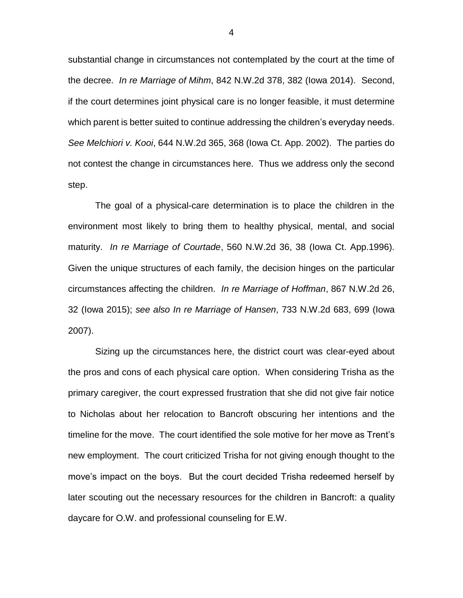substantial change in circumstances not contemplated by the court at the time of the decree. *In re Marriage of Mihm*, 842 N.W.2d 378, 382 (Iowa 2014). Second, if the court determines joint physical care is no longer feasible, it must determine which parent is better suited to continue addressing the children's everyday needs. *See Melchiori v. Kooi*, 644 N.W.2d 365, 368 (Iowa Ct. App. 2002). The parties do not contest the change in circumstances here. Thus we address only the second step.

The goal of a physical-care determination is to place the children in the environment most likely to bring them to healthy physical, mental, and social maturity. *In re Marriage of Courtade*, 560 N.W.2d 36, 38 (Iowa Ct. App.1996). Given the unique structures of each family, the decision hinges on the particular circumstances affecting the children. *In re Marriage of Hoffman*, 867 N.W.2d 26, 32 (Iowa 2015); *see also In re Marriage of Hansen*, 733 N.W.2d 683, 699 (Iowa 2007).

Sizing up the circumstances here, the district court was clear-eyed about the pros and cons of each physical care option. When considering Trisha as the primary caregiver, the court expressed frustration that she did not give fair notice to Nicholas about her relocation to Bancroft obscuring her intentions and the timeline for the move. The court identified the sole motive for her move as Trent's new employment. The court criticized Trisha for not giving enough thought to the move's impact on the boys. But the court decided Trisha redeemed herself by later scouting out the necessary resources for the children in Bancroft: a quality daycare for O.W. and professional counseling for E.W.

4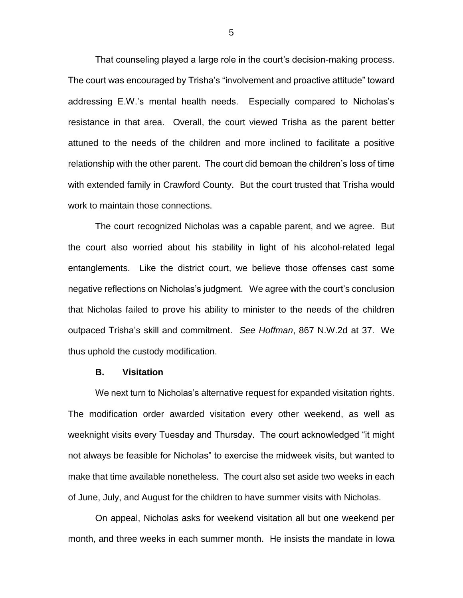That counseling played a large role in the court's decision-making process. The court was encouraged by Trisha's "involvement and proactive attitude" toward addressing E.W.'s mental health needs. Especially compared to Nicholas's resistance in that area. Overall, the court viewed Trisha as the parent better attuned to the needs of the children and more inclined to facilitate a positive relationship with the other parent. The court did bemoan the children's loss of time with extended family in Crawford County. But the court trusted that Trisha would work to maintain those connections.

The court recognized Nicholas was a capable parent, and we agree. But the court also worried about his stability in light of his alcohol-related legal entanglements. Like the district court, we believe those offenses cast some negative reflections on Nicholas's judgment. We agree with the court's conclusion that Nicholas failed to prove his ability to minister to the needs of the children outpaced Trisha's skill and commitment. *See Hoffman*, 867 N.W.2d at 37. We thus uphold the custody modification.

#### **B. Visitation**

We next turn to Nicholas's alternative request for expanded visitation rights. The modification order awarded visitation every other weekend, as well as weeknight visits every Tuesday and Thursday. The court acknowledged "it might not always be feasible for Nicholas" to exercise the midweek visits, but wanted to make that time available nonetheless. The court also set aside two weeks in each of June, July, and August for the children to have summer visits with Nicholas.

On appeal, Nicholas asks for weekend visitation all but one weekend per month, and three weeks in each summer month. He insists the mandate in Iowa